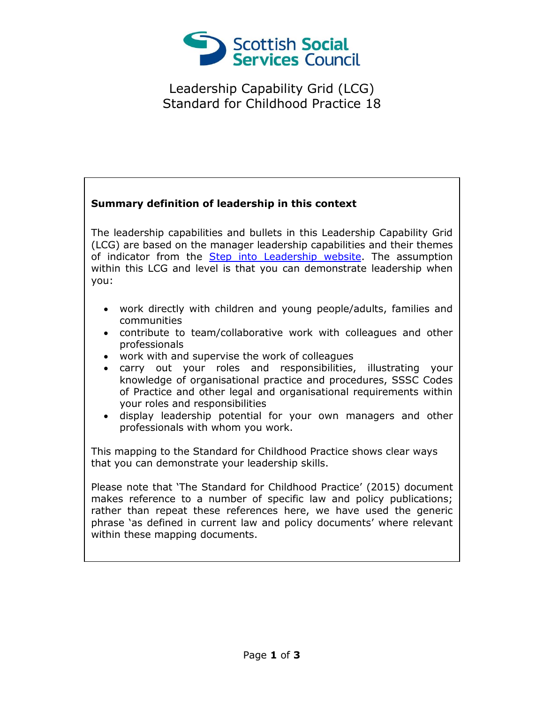

Leadership Capability Grid (LCG) Standard for Childhood Practice 18

## **Summary definition of leadership in this context**

The leadership capabilities and bullets in this Leadership Capability Grid (LCG) are based on the manager leadership capabilities and their themes of indicator from the [Step into Leadership website.](http://www.stepintoleadership.info/) The assumption within this LCG and level is that you can demonstrate leadership when you:

- work directly with children and young people/adults, families and communities
- contribute to team/collaborative work with colleagues and other professionals
- work with and supervise the work of colleagues
- carry out your roles and responsibilities, illustrating your knowledge of organisational practice and procedures, SSSC Codes of Practice and other legal and organisational requirements within your roles and responsibilities
- display leadership potential for your own managers and other professionals with whom you work.

This mapping to the Standard for Childhood Practice shows clear ways that you can demonstrate your leadership skills.

Please note that 'The Standard for Childhood Practice' (2015) document makes reference to a number of specific law and policy publications; rather than repeat these references here, we have used the generic phrase 'as defined in current law and policy documents' where relevant within these mapping documents.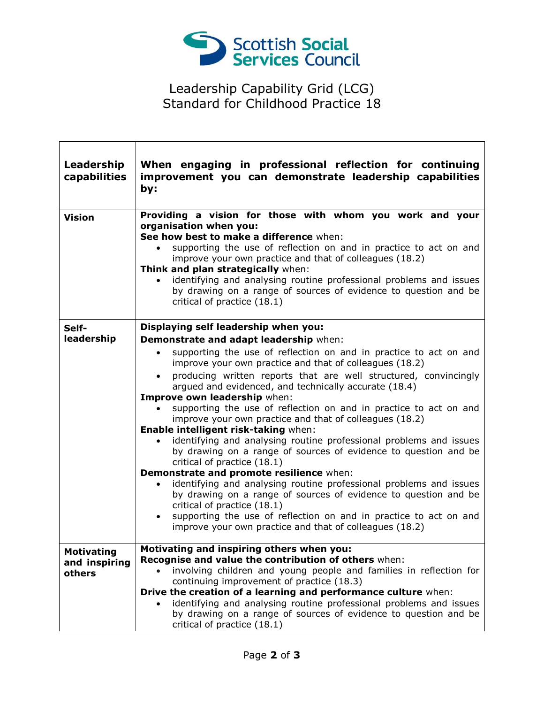

## Leadership Capability Grid (LCG) Standard for Childhood Practice 18

ヿ

| Leadership<br>capabilities                   | When engaging in professional reflection for continuing<br>improvement you can demonstrate leadership capabilities<br>by:                                                                                                                                                                                                                                                                                                                                                                                                                                                                                                                                                                                                                                                                                                                                                                                                                                                                                                                                                                                   |
|----------------------------------------------|-------------------------------------------------------------------------------------------------------------------------------------------------------------------------------------------------------------------------------------------------------------------------------------------------------------------------------------------------------------------------------------------------------------------------------------------------------------------------------------------------------------------------------------------------------------------------------------------------------------------------------------------------------------------------------------------------------------------------------------------------------------------------------------------------------------------------------------------------------------------------------------------------------------------------------------------------------------------------------------------------------------------------------------------------------------------------------------------------------------|
| <b>Vision</b>                                | Providing a vision for those with whom you work and your<br>organisation when you:<br>See how best to make a difference when:<br>supporting the use of reflection on and in practice to act on and<br>$\bullet$<br>improve your own practice and that of colleagues (18.2)<br>Think and plan strategically when:<br>identifying and analysing routine professional problems and issues<br>by drawing on a range of sources of evidence to question and be<br>critical of practice (18.1)                                                                                                                                                                                                                                                                                                                                                                                                                                                                                                                                                                                                                    |
| Self-<br>leadership                          | Displaying self leadership when you:<br>Demonstrate and adapt leadership when:<br>supporting the use of reflection on and in practice to act on and<br>$\bullet$<br>improve your own practice and that of colleagues (18.2)<br>• producing written reports that are well structured, convincingly<br>argued and evidenced, and technically accurate (18.4)<br>Improve own leadership when:<br>supporting the use of reflection on and in practice to act on and<br>improve your own practice and that of colleagues (18.2)<br>Enable intelligent risk-taking when:<br>identifying and analysing routine professional problems and issues<br>$\bullet$<br>by drawing on a range of sources of evidence to question and be<br>critical of practice (18.1)<br>Demonstrate and promote resilience when:<br>identifying and analysing routine professional problems and issues<br>by drawing on a range of sources of evidence to question and be<br>critical of practice (18.1)<br>supporting the use of reflection on and in practice to act on and<br>improve your own practice and that of colleagues (18.2) |
| <b>Motivating</b><br>and inspiring<br>others | Motivating and inspiring others when you:<br>Recognise and value the contribution of others when:<br>involving children and young people and families in reflection for<br>continuing improvement of practice (18.3)<br>Drive the creation of a learning and performance culture when:<br>identifying and analysing routine professional problems and issues<br>by drawing on a range of sources of evidence to question and be<br>critical of practice (18.1)                                                                                                                                                                                                                                                                                                                                                                                                                                                                                                                                                                                                                                              |